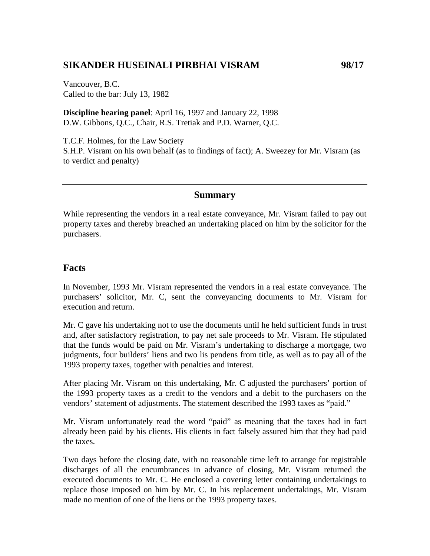# **SIKANDER HUSEINALI PIRBHAI VISRAM 98/17**

Vancouver, B.C. Called to the bar: July 13, 1982

**Discipline hearing panel**: April 16, 1997 and January 22, 1998 D.W. Gibbons, Q.C., Chair, R.S. Tretiak and P.D. Warner, Q.C.

T.C.F. Holmes, for the Law Society S.H.P. Visram on his own behalf (as to findings of fact); A. Sweezey for Mr. Visram (as to verdict and penalty)

### **Summary**

While representing the vendors in a real estate conveyance, Mr. Visram failed to pay out property taxes and thereby breached an undertaking placed on him by the solicitor for the purchasers.

## **Facts**

In November, 1993 Mr. Visram represented the vendors in a real estate conveyance. The purchasers' solicitor, Mr. C, sent the conveyancing documents to Mr. Visram for execution and return.

Mr. C gave his undertaking not to use the documents until he held sufficient funds in trust and, after satisfactory registration, to pay net sale proceeds to Mr. Visram. He stipulated that the funds would be paid on Mr. Visram's undertaking to discharge a mortgage, two judgments, four builders' liens and two lis pendens from title, as well as to pay all of the 1993 property taxes, together with penalties and interest.

After placing Mr. Visram on this undertaking, Mr. C adjusted the purchasers' portion of the 1993 property taxes as a credit to the vendors and a debit to the purchasers on the vendors' statement of adjustments. The statement described the 1993 taxes as "paid."

Mr. Visram unfortunately read the word "paid" as meaning that the taxes had in fact already been paid by his clients. His clients in fact falsely assured him that they had paid the taxes.

Two days before the closing date, with no reasonable time left to arrange for registrable discharges of all the encumbrances in advance of closing, Mr. Visram returned the executed documents to Mr. C. He enclosed a covering letter containing undertakings to replace those imposed on him by Mr. C. In his replacement undertakings, Mr. Visram made no mention of one of the liens or the 1993 property taxes.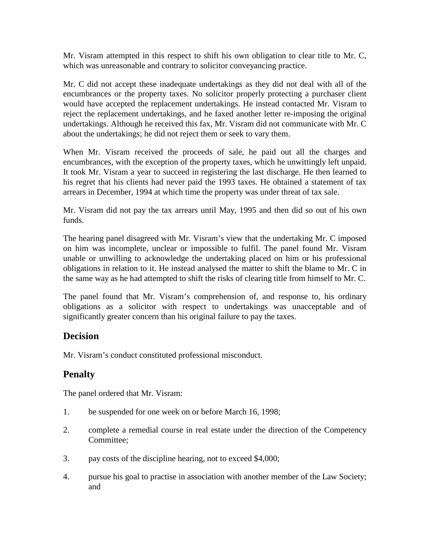Mr. Visram attempted in this respect to shift his own obligation to clear title to Mr. C, which was unreasonable and contrary to solicitor conveyancing practice.

Mr. C did not accept these inadequate undertakings as they did not deal with all of the encumbrances or the property taxes. No solicitor properly protecting a purchaser client would have accepted the replacement undertakings. He instead contacted Mr. Visram to reject the replacement undertakings, and he faxed another letter re-imposing the original undertakings. Although he received this fax, Mr. Visram did not communicate with Mr. C about the undertakings; he did not reject them or seek to vary them.

When Mr. Visram received the proceeds of sale, he paid out all the charges and encumbrances, with the exception of the property taxes, which he unwittingly left unpaid. It took Mr. Visram a year to succeed in registering the last discharge. He then learned to his regret that his clients had never paid the 1993 taxes. He obtained a statement of tax arrears in December, 1994 at which time the property was under threat of tax sale.

Mr. Visram did not pay the tax arrears until May, 1995 and then did so out of his own funds.

The hearing panel disagreed with Mr. Visram's view that the undertaking Mr. C imposed on him was incomplete, unclear or impossible to fulfil. The panel found Mr. Visram unable or unwilling to acknowledge the undertaking placed on him or his professional obligations in relation to it. He instead analysed the matter to shift the blame to Mr. C in the same way as he had attempted to shift the risks of clearing title from himself to Mr. C.

The panel found that Mr. Visram's comprehension of, and response to, his ordinary obligations as a solicitor with respect to undertakings was unacceptable and of significantly greater concern than his original failure to pay the taxes.

### **Decision**

Mr. Visram's conduct constituted professional misconduct.

## **Penalty**

The panel ordered that Mr. Visram:

- 1. be suspended for one week on or before March 16, 1998;
- 2. complete a remedial course in real estate under the direction of the Competency Committee;
- 3. pay costs of the discipline hearing, not to exceed \$4,000;
- 4. pursue his goal to practise in association with another member of the Law Society; and